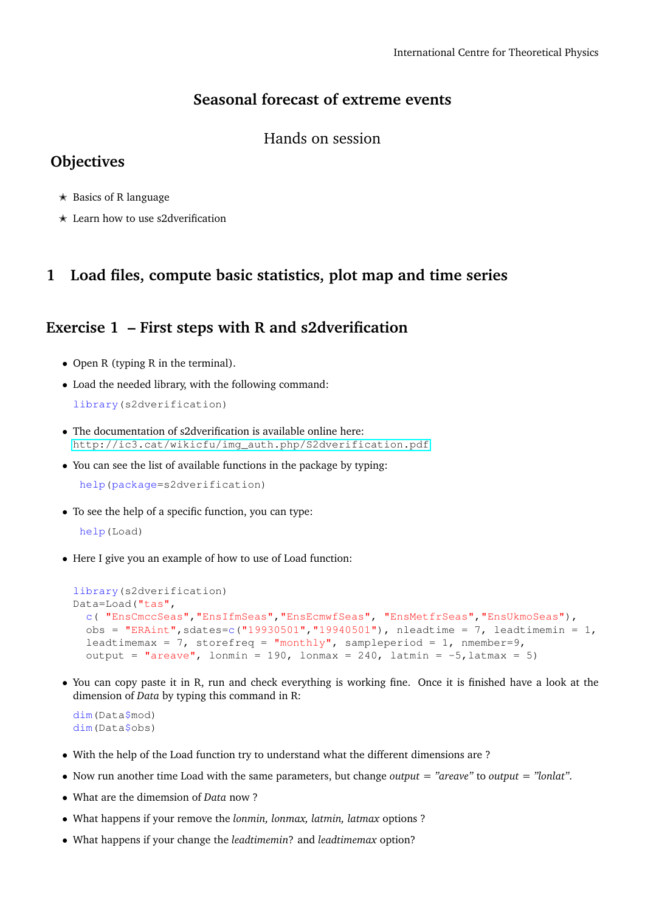## **Seasonal forecast of extreme events**

#### Hands on session

# **Objectives**

- $\star$  Basics of R language
- $\star$  Learn how to use s2dverification

## **1 Load files, compute basic statistics, plot map and time series**

### **Exercise 1 – First steps with R and s2dverification**

- Open R (typing R in the terminal).
- Load the needed library, with the following command:

```
library(s2dverification)
```
- The documentation of s2dverification is available online here: [http://ic3.cat/wikicfu/img\\_auth.php/S2dverification.pdf](http://ic3.cat/wikicfu/img_auth.php/S2dverification.pdf)
- You can see the list of available functions in the package by typing:

```
help(package=s2dverification)
```
• To see the help of a specific function, you can type:

help(Load)

• Here I give you an example of how to use of Load function:

```
library(s2dverification)
Data=Load("tas",
  c( "EnsCmccSeas","EnsIfmSeas","EnsEcmwfSeas", "EnsMetfrSeas","EnsUkmoSeas"),
 obs = "ERAint", sdates=c("19930501", "19940501"), nleadtime = 7, leadtimemin = 1,
 leadtimemax = 7, storefreq = "monthly", sampleperiod = 1, nmember=9,
 output = "areave", lonmin = 190, lonmax = 240, latmin = -5, latmax = 5)
```
• You can copy paste it in R, run and check everything is working fine. Once it is finished have a look at the dimension of *Data* by typing this command in R:

```
dim(Data$mod)
dim(Data$obs)
```
- With the help of the Load function try to understand what the different dimensions are ?
- Now run another time Load with the same parameters, but change *output = "areave"* to *output = "lonlat"*.
- What are the dimemsion of *Data* now ?
- What happens if your remove the *lonmin, lonmax, latmin, latmax* options ?
- What happens if your change the *leadtimemin*? and *leadtimemax* option?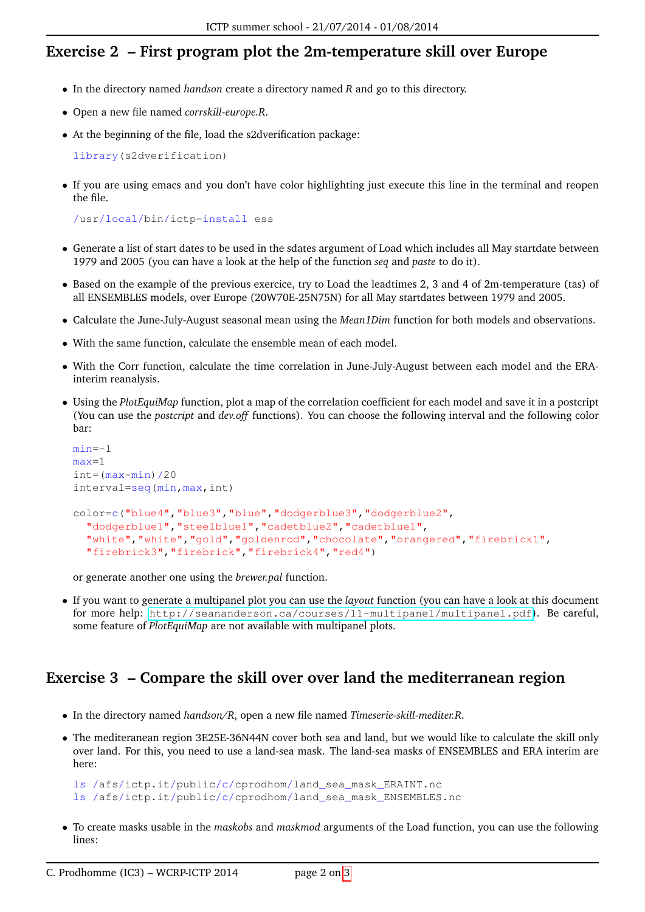# **Exercise 2 – First program plot the 2m-temperature skill over Europe**

- In the directory named *handson* create a directory named *R* and go to this directory.
- Open a new file named *corrskill-europe.R*.
- At the beginning of the file, load the s2dverification package:

library(s2dverification)

• If you are using emacs and you don't have color highlighting just execute this line in the terminal and reopen the file.

/usr/local/bin/ictp-install ess

- Generate a list of start dates to be used in the sdates argument of Load which includes all May startdate between 1979 and 2005 (you can have a look at the help of the function *seq* and *paste* to do it).
- Based on the example of the previous exercice, try to Load the leadtimes 2, 3 and 4 of 2m-temperature (tas) of all ENSEMBLES models, over Europe (20W70E-25N75N) for all May startdates between 1979 and 2005.
- Calculate the June-July-August seasonal mean using the *Mean1Dim* function for both models and observations.
- With the same function, calculate the ensemble mean of each model.
- With the Corr function, calculate the time correlation in June-July-August between each model and the ERAinterim reanalysis.
- Using the *PlotEquiMap* function, plot a map of the correlation coefficient for each model and save it in a postcript (You can use the *postcript* and *dev.off* functions). You can choose the following interval and the following color bar:

```
min=-1
max=1
int=(max-min)/20interval=seq(min,max,int)
color=c("blue4","blue3","blue","dodgerblue3","dodgerblue2",
  "dodgerblue1","steelblue1","cadetblue2","cadetblue1",
  "white","white","gold","goldenrod","chocolate","orangered","firebrick1",
  "firebrick3","firebrick","firebrick4","red4")
```
or generate another one using the *brewer.pal* function.

• If you want to generate a multipanel plot you can use the *layout* function (you can have a look at this document for more help: <http://seananderson.ca/courses/11-multipanel/multipanel.pdf>). Be careful, some feature of *PlotEquiMap* are not available with multipanel plots.

# **Exercise 3 – Compare the skill over over land the mediterranean region**

- In the directory named *handson/R*, open a new file named *Timeserie-skill-mediter.R*.
- The mediteranean region 3E25E-36N44N cover both sea and land, but we would like to calculate the skill only over land. For this, you need to use a land-sea mask. The land-sea masks of ENSEMBLES and ERA interim are here:

```
ls /afs/ictp.it/public/c/cprodhom/land_sea_mask_ERAINT.nc
ls /afs/ictp.it/public/c/cprodhom/land_sea_mask_ENSEMBLES.nc
```
• To create masks usable in the *maskobs* and *maskmod* arguments of the Load function, you can use the following lines: